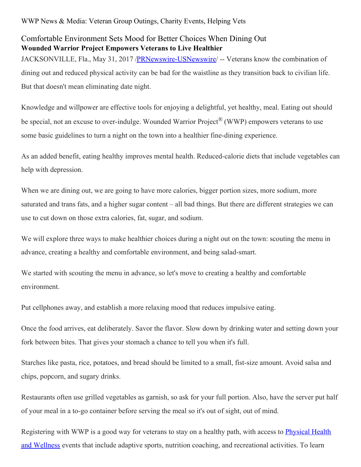WWP News & Media: Veteran Group Outings, Charity Events, Helping Vets

## Comfortable Environment Sets Mood for Better Choices When Dining Out **Wounded Warrior Project Empowers Veterans to Live Healthier**

JACKSONVILLE, Fla., May 31, 2017 [/PRNewswire-USNewswire](http://www.prnewswire.com/)/ -- Veterans know the combination of dining out and reduced physical activity can be bad for the waistline as they transition back to civilian life. But that doesn't mean eliminating date night.

Knowledge and willpower are effective tools for enjoying a delightful, yet healthy, meal. Eating out should be special, not an excuse to over-indulge. Wounded Warrior Project® (WWP) empowers veterans to use some basic guidelines to turn a night on the town into a healthier fine-dining experience.

As an added benefit, eating healthy improves mental health. Reduced-calorie diets that include vegetables can help with depression.

When we are dining out, we are going to have more calories, bigger portion sizes, more sodium, more saturated and trans fats, and a higher sugar content – all bad things. But there are different strategies we can use to cut down on those extra calories, fat, sugar, and sodium.

We will explore three ways to make healthier choices during a night out on the town: scouting the menu in advance, creating a healthy and comfortable environment, and being salad-smart.

We started with scouting the menu in advance, so let's move to creating a healthy and comfortable environment.

Put cellphones away, and establish a more relaxing mood that reduces impulsive eating.

Once the food arrives, eat deliberately. Savor the flavor. Slow down by drinking water and setting down your fork between bites. That gives your stomach a chance to tell you when it's full.

Starches like pasta, rice, potatoes, and bread should be limited to a small, fist-size amount. Avoid salsa and chips, popcorn, and sugary drinks.

Restaurants often use grilled vegetables as garnish, so ask for your full portion. Also, have the server put half of your meal in a to-go container before serving the meal so it's out of sight, out of mind.

Registering with WWP is a good way for veterans to stay on a healthy path, with access to **Physical Health** and Wellness events that include adaptive sports, nutrition coaching, and [recreational](https://www.woundedwarriorproject.org/programs/physical-health-wellness) activities. To learn